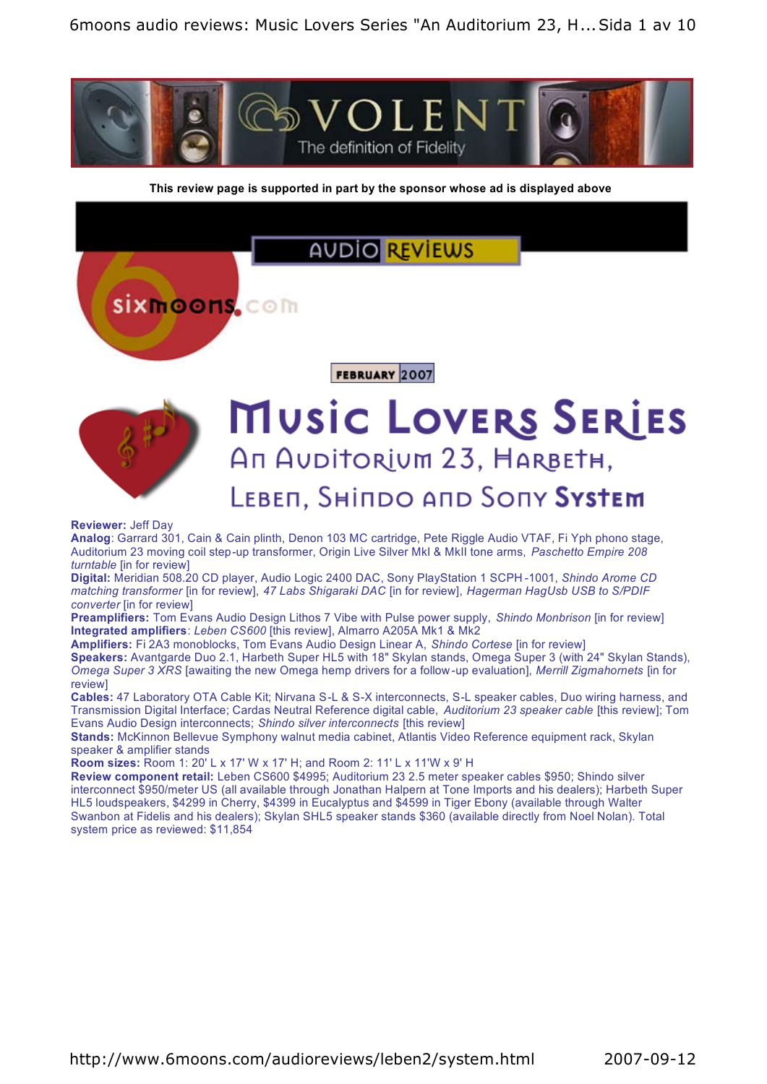

**This review page is supported in part by the sponsor whose ad is displayed above**

## **AUDIO REVIEWS**

**Sixmoons.com** 

FEBRUARY 2007



# **MUSIC LOVERS SERIES** An Auditorium 23, HARBETH, LEBEN, SHINDO AND SONY SYSTEM

#### **Reviewer:** Jeff Day

**Analog**: Garrard 301, Cain & Cain plinth, Denon 103 MC cartridge, Pete Riggle Audio VTAF, Fi Yph phono stage, Auditorium 23 moving coil step-up transformer, Origin Live Silver MkI & MkII tone arms, *Paschetto Empire 208 turntable* [in for review]

**Digital:** Meridian 508.20 CD player, Audio Logic 2400 DAC, Sony PlayStation 1 SCPH -1001, *Shindo Arome CD matching transformer* [in for review], *47 Labs Shigaraki DAC* [in for review], *Hagerman HagUsb USB to S/PDIF converter* [in for review]

**Preamplifiers:** Tom Evans Audio Design Lithos 7 Vibe with Pulse power supply, *Shindo Monbrison* [in for review] **Integrated amplifiers**: *Leben CS600* [this review], Almarro A205A Mk1 & Mk2

**Amplifiers:** Fi 2A3 monoblocks, Tom Evans Audio Design Linear A, *Shindo Cortese* [in for review] **Speakers:** Avantgarde Duo 2.1, Harbeth Super HL5 with 18" Skylan stands, Omega Super 3 (with 24" Skylan Stands), *Omega Super 3 XRS* [awaiting the new Omega hemp drivers for a follow -up evaluation], *Merrill Zigmahornets* [in for review]

**Cables:** 47 Laboratory OTA Cable Kit; Nirvana S-L & S-X interconnects, S-L speaker cables, Duo wiring harness, and Transmission Digital Interface; Cardas Neutral Reference digital cable, *Auditorium 23 speaker cable* [this review]; Tom Evans Audio Design interconnects; *Shindo silver interconnects* [this review]

**Stands:** McKinnon Bellevue Symphony walnut media cabinet, Atlantis Video Reference equipment rack, Skylan speaker & amplifier stands

**Room sizes:** Room 1: 20' L x 17' W x 17' H; and Room 2: 11' L x 11'W x 9' H

**Review component retail:** Leben CS600 \$4995; Auditorium 23 2.5 meter speaker cables \$950; Shindo silver interconnect \$950/meter US (all available through Jonathan Halpern at Tone Imports and his dealers); Harbeth Super HL5 loudspeakers, \$4299 in Cherry, \$4399 in Eucalyptus and \$4599 in Tiger Ebony (available through Walter Swanbon at Fidelis and his dealers); Skylan SHL5 speaker stands \$360 (available directly from Noel Nolan). Total system price as reviewed: \$11,854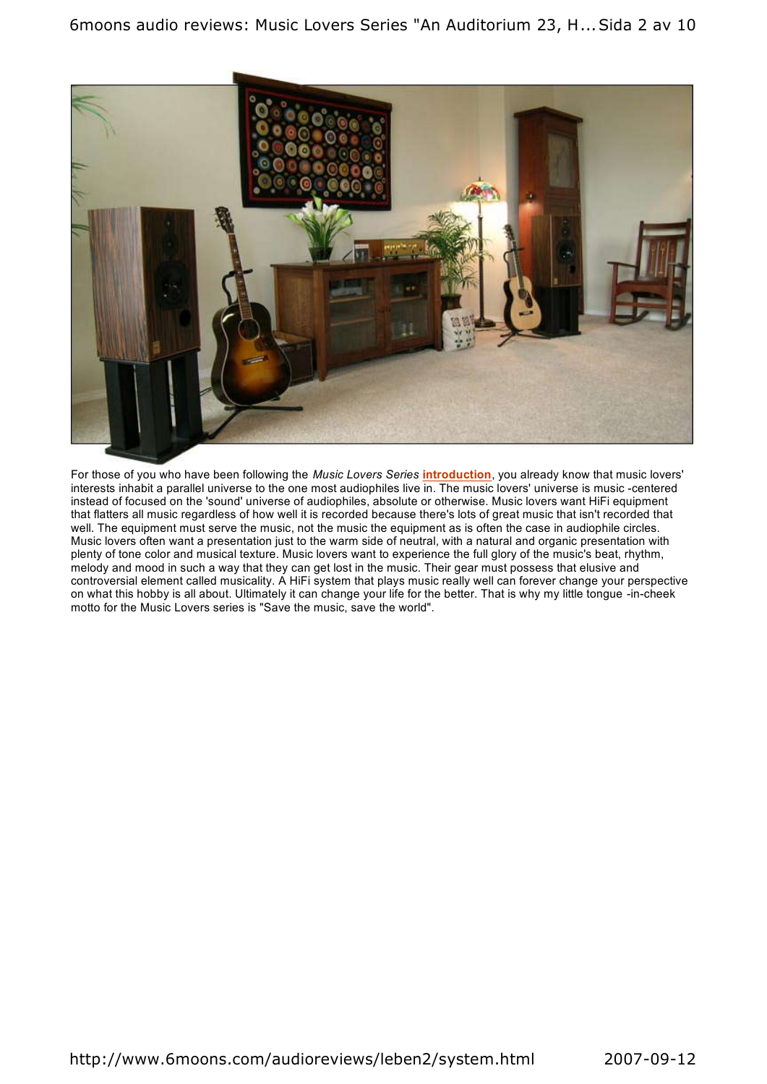

For those of you who have been following the *Music Lovers Series* **introduction**, you already know that music lovers' interests inhabit a parallel universe to the one most audiophiles live in. The music lovers' universe is music -centered instead of focused on the 'sound' universe of audiophiles, absolute or otherwise. Music lovers want HiFi equipment that flatters all music regardless of how well it is recorded because there's lots of great music that isn't recorded that well. The equipment must serve the music, not the music the equipment as is often the case in audiophile circles. Music lovers often want a presentation just to the warm side of neutral, with a natural and organic presentation with plenty of tone color and musical texture. Music lovers want to experience the full glory of the music's beat, rhythm, melody and mood in such a way that they can get lost in the music. Their gear must possess that elusive and controversial element called musicality. A HiFi system that plays music really well can forever change your perspective on what this hobby is all about. Ultimately it can change your life for the better. That is why my little tongue -in-cheek motto for the Music Lovers series is "Save the music, save the world".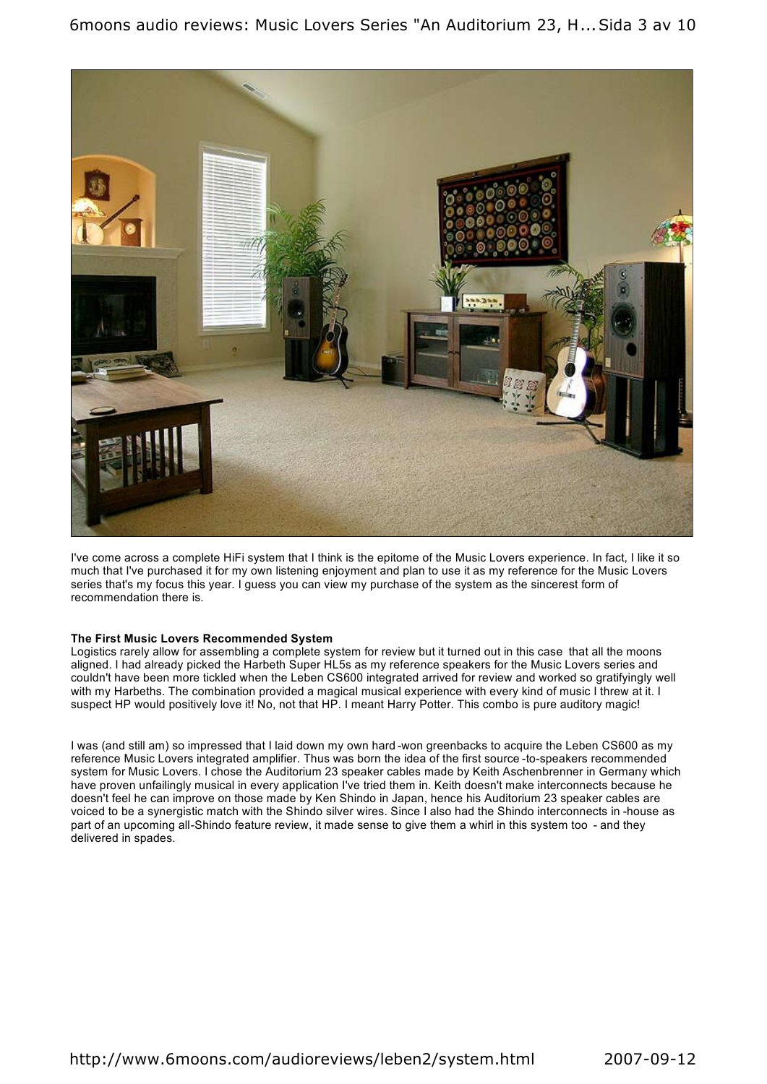

I've come across a complete HiFi system that I think is the epitome of the Music Lovers experience. In fact, I like it so much that I've purchased it for my own listening enjoyment and plan to use it as my reference for the Music Lovers series that's my focus this year. I guess you can view my purchase of the system as the sincerest form of recommendation there is.

#### **The First Music Lovers Recommended System**

Logistics rarely allow for assembling a complete system for review but it turned out in this case that all the moons aligned. I had already picked the Harbeth Super HL5s as my reference speakers for the Music Lovers series and couldn't have been more tickled when the Leben CS600 integrated arrived for review and worked so gratifyingly well with my Harbeths. The combination provided a magical musical experience with every kind of music I threw at it. I suspect HP would positively love it! No, not that HP. I meant Harry Potter. This combo is pure auditory magic!

I was (and still am) so impressed that I laid down my own hard -won greenbacks to acquire the Leben CS600 as my reference Music Lovers integrated amplifier. Thus was born the idea of the first source -to-speakers recommended system for Music Lovers. I chose the Auditorium 23 speaker cables made by Keith Aschenbrenner in Germany which have proven unfailingly musical in every application I've tried them in. Keith doesn't make interconnects because he doesn't feel he can improve on those made by Ken Shindo in Japan, hence his Auditorium 23 speaker cables are voiced to be a synergistic match with the Shindo silver wires. Since I also had the Shindo interconnects in -house as part of an upcoming all-Shindo feature review, it made sense to give them a whirl in this system too - and they delivered in spades.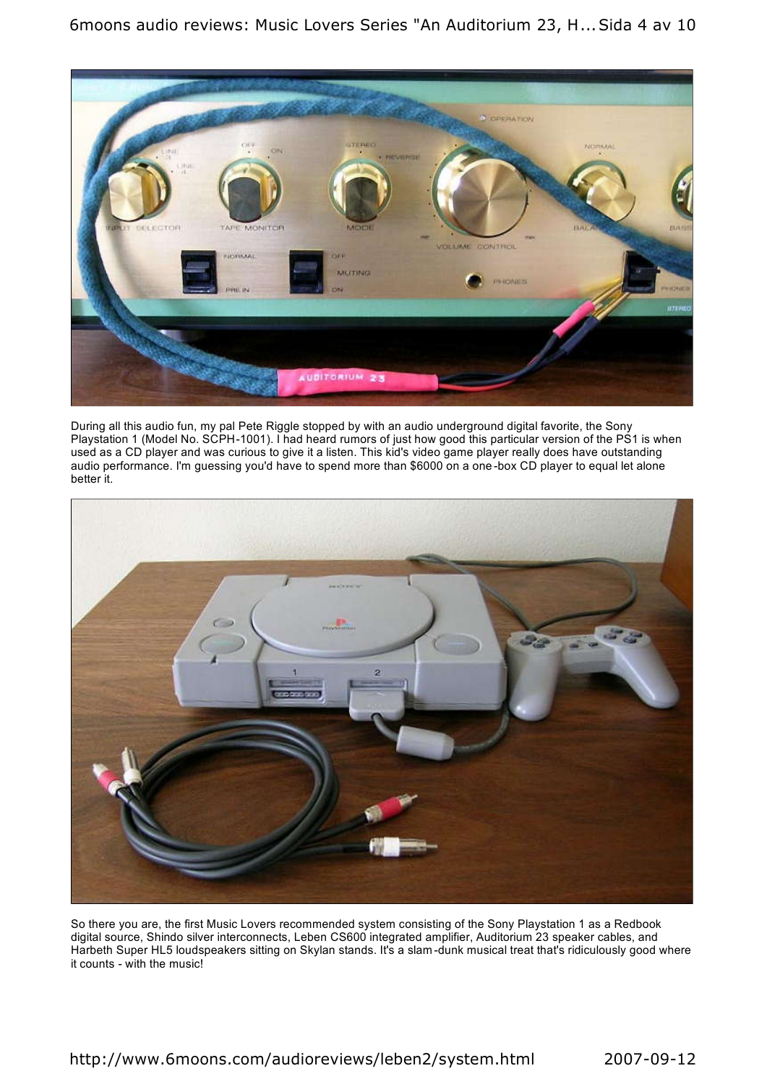6moons audio reviews: Music Lovers Series "An Auditorium 23, H...Sida 4 av 10



During all this audio fun, my pal Pete Riggle stopped by with an audio underground digital favorite, the Sony Playstation 1 (Model No. SCPH-1001). I had heard rumors of just how good this particular version of the PS1 is when used as a CD player and was curious to give it a listen. This kid's video game player really does have outstanding audio performance. I'm guessing you'd have to spend more than \$6000 on a one -box CD player to equal let alone better it.



So there you are, the first Music Lovers recommended system consisting of the Sony Playstation 1 as a Redbook digital source, Shindo silver interconnects, Leben CS600 integrated amplifier, Auditorium 23 speaker cables, and Harbeth Super HL5 loudspeakers sitting on Skylan stands. It's a slam -dunk musical treat that's ridiculously good where it counts - with the music!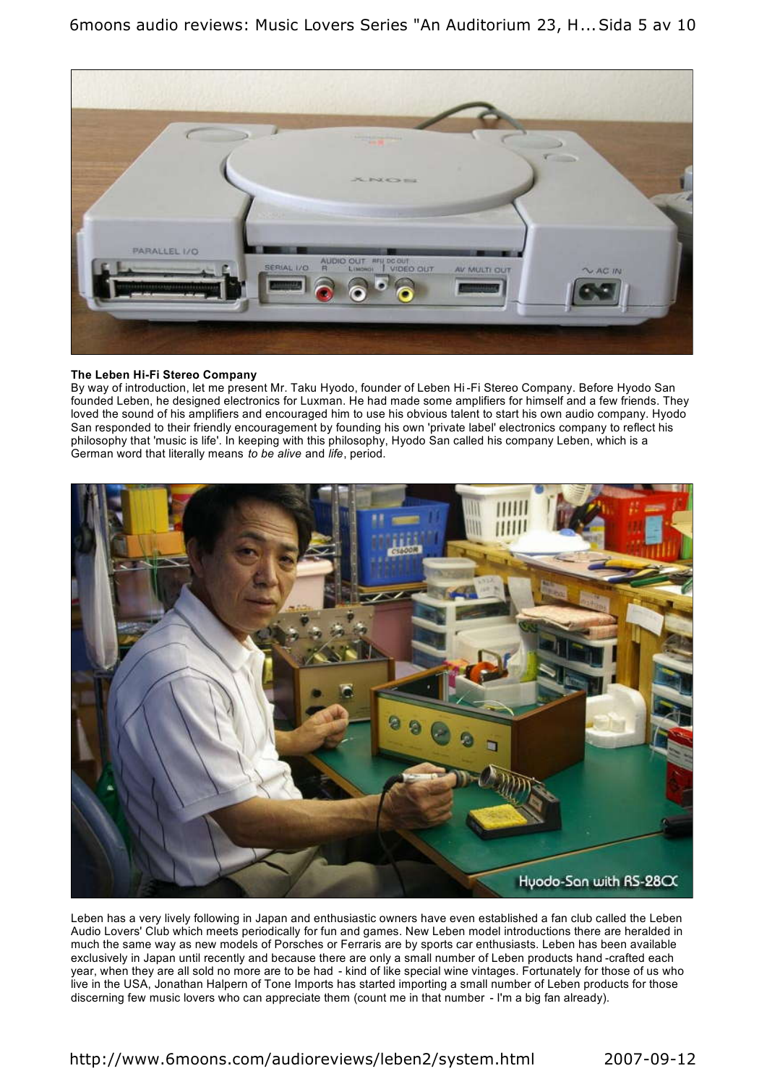6moons audio reviews: Music Lovers Series "An Auditorium 23, H...Sida 5 av 10



#### **The Leben Hi-Fi Stereo Company**

By way of introduction, let me present Mr. Taku Hyodo, founder of Leben Hi -Fi Stereo Company. Before Hyodo San founded Leben, he designed electronics for Luxman. He had made some amplifiers for himself and a few friends. They loved the sound of his amplifiers and encouraged him to use his obvious talent to start his own audio company. Hyodo San responded to their friendly encouragement by founding his own 'private label' electronics company to reflect his philosophy that 'music is life'. In keeping with this philosophy, Hyodo San called his company Leben, which is a German word that literally means *to be alive* and *life*, period.



Leben has a very lively following in Japan and enthusiastic owners have even established a fan club called the Leben Audio Lovers' Club which meets periodically for fun and games. New Leben model introductions there are heralded in much the same way as new models of Porsches or Ferraris are by sports car enthusiasts. Leben has been available exclusively in Japan until recently and because there are only a small number of Leben products hand -crafted each year, when they are all sold no more are to be had - kind of like special wine vintages. Fortunately for those of us who live in the USA, Jonathan Halpern of Tone Imports has started importing a small number of Leben products for those discerning few music lovers who can appreciate them (count me in that number - I'm a big fan already).

### http://www.6moons.com/audioreviews/leben2/system.html 2007-09-12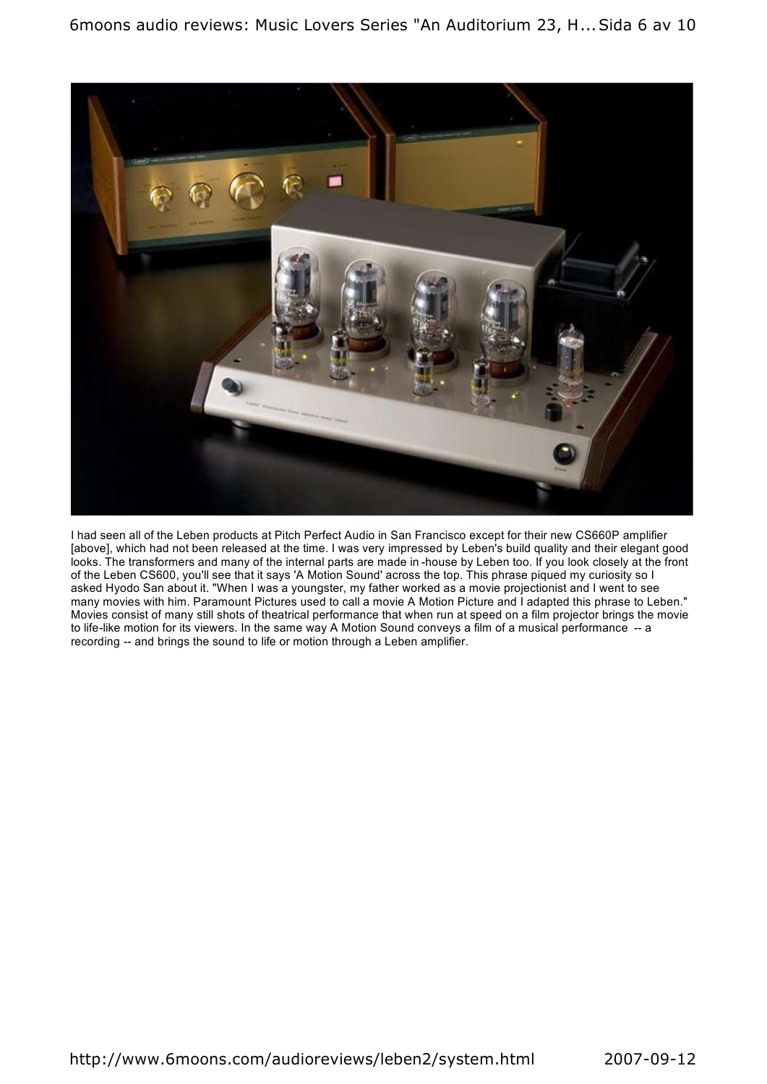

I had seen all of the Leben products at Pitch Perfect Audio in San Francisco except for their new CS660P amplifier [above], which had not been released at the time. I was very impressed by Leben's build quality and their elegant good looks. The transformers and many of the internal parts are made in -house by Leben too. If you look closely at the front of the Leben CS600, you'll see that it says 'A Motion Sound' across the top. This phrase piqued my curiosity so I asked Hyodo San about it. "When I was a youngster, my father worked as a movie projectionist and I went to see many movies with him. Paramount Pictures used to call a movie A Motion Picture and I adapted this phrase to Leben." Movies consist of many still shots of theatrical performance that when run at speed on a film projector brings the movie to life-like motion for its viewers. In the same way A Motion Sound conveys a film of a musical performance -- a recording -- and brings the sound to life or motion through a Leben amplifier.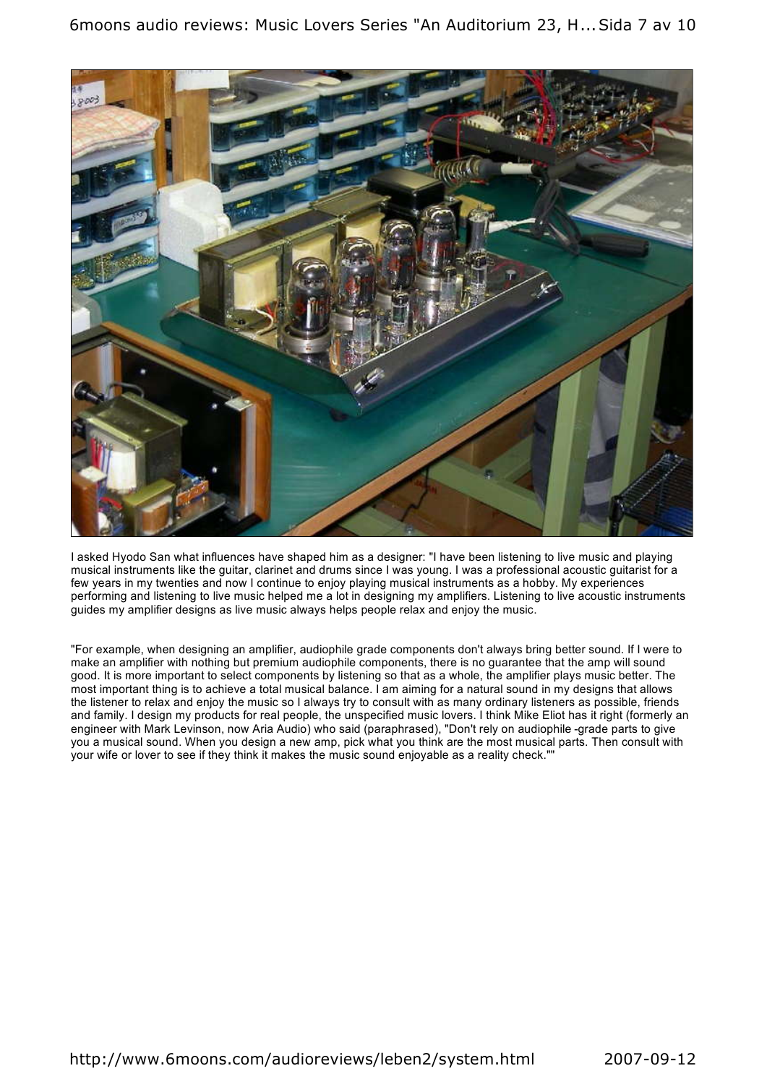6moons audio reviews: Music Lovers Series "An Auditorium 23, H...Sida 7 av 10



I asked Hyodo San what influences have shaped him as a designer: "I have been listening to live music and playing musical instruments like the guitar, clarinet and drums since I was young. I was a professional acoustic guitarist for a few years in my twenties and now I continue to enjoy playing musical instruments as a hobby. My experiences performing and listening to live music helped me a lot in designing my amplifiers. Listening to live acoustic instruments guides my amplifier designs as live music always helps people relax and enjoy the music.

"For example, when designing an amplifier, audiophile grade components don't always bring better sound. If I were to make an amplifier with nothing but premium audiophile components, there is no guarantee that the amp will sound good. It is more important to select components by listening so that as a whole, the amplifier plays music better. The most important thing is to achieve a total musical balance. I am aiming for a natural sound in my designs that allows the listener to relax and enjoy the music so I always try to consult with as many ordinary listeners as possible, friends and family. I design my products for real people, the unspecified music lovers. I think Mike Eliot has it right (formerly an engineer with Mark Levinson, now Aria Audio) who said (paraphrased), "Don't rely on audiophile -grade parts to give you a musical sound. When you design a new amp, pick what you think are the most musical parts. Then consult with your wife or lover to see if they think it makes the music sound enjoyable as a reality check.""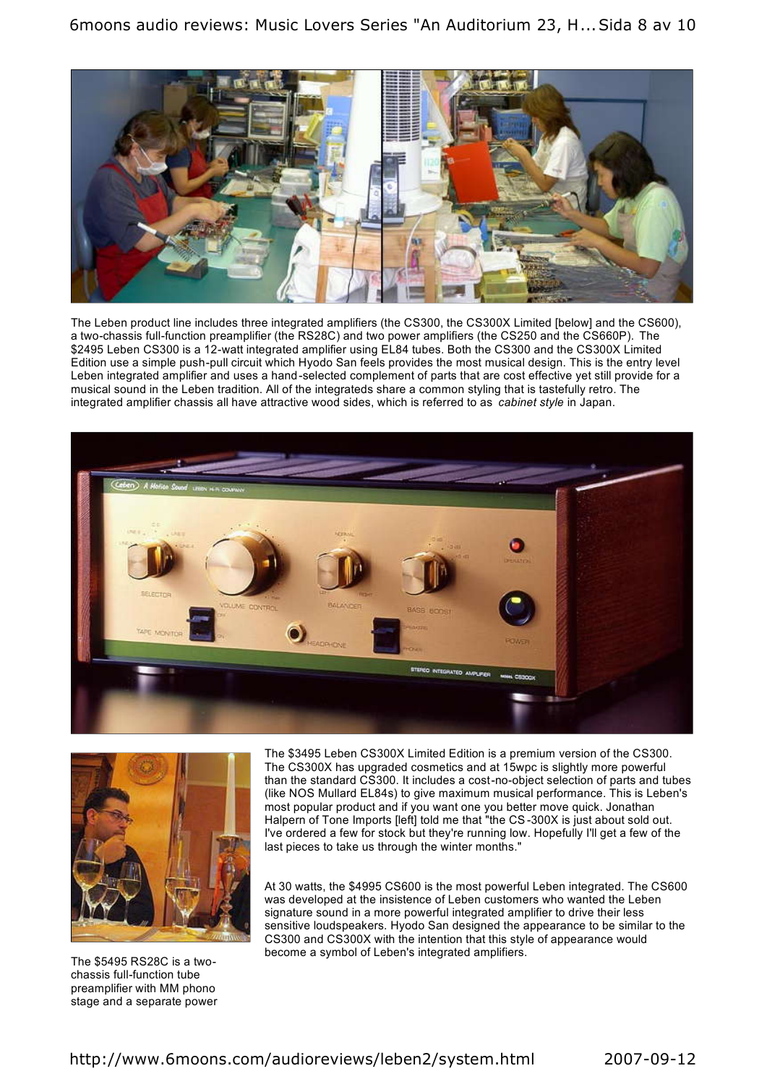6moons audio reviews: Music Lovers Series "An Auditorium 23, H...Sida 8 av 10



The Leben product line includes three integrated amplifiers (the CS300, the CS300X Limited [below] and the CS600), a two-chassis full-function preamplifier (the RS28C) and two power amplifiers (the CS250 and the CS660P). The \$2495 Leben CS300 is a 12-watt integrated amplifier using EL84 tubes. Both the CS300 and the CS300X Limited Edition use a simple push-pull circuit which Hyodo San feels provides the most musical design. This is the entry level Leben integrated amplifier and uses a hand-selected complement of parts that are cost effective yet still provide for a musical sound in the Leben tradition. All of the integrateds share a common styling that is tastefully retro. The integrated amplifier chassis all have attractive wood sides, which is referred to as *cabinet style* in Japan.





The \$3495 Leben CS300X Limited Edition is a premium version of the CS300. The CS300X has upgraded cosmetics and at 15wpc is slightly more powerful than the standard CS300. It includes a cost-no-object selection of parts and tubes (like NOS Mullard EL84s) to give maximum musical performance. This is Leben's most popular product and if you want one you better move quick. Jonathan Halpern of Tone Imports [left] told me that "the CS-300X is just about sold out. I've ordered a few for stock but they're running low. Hopefully I'll get a few of the last pieces to take us through the winter months."

At 30 watts, the \$4995 CS600 is the most powerful Leben integrated. The CS600 was developed at the insistence of Leben customers who wanted the Leben signature sound in a more powerful integrated amplifier to drive their less sensitive loudspeakers. Hyodo San designed the appearance to be similar to the CS300 and CS300X with the intention that this style of appearance would become a symbol of Leben's integrated amplifiers. The \$5495 RS28C is a two-

chassis full-function tube preamplifier with MM phono stage and a separate power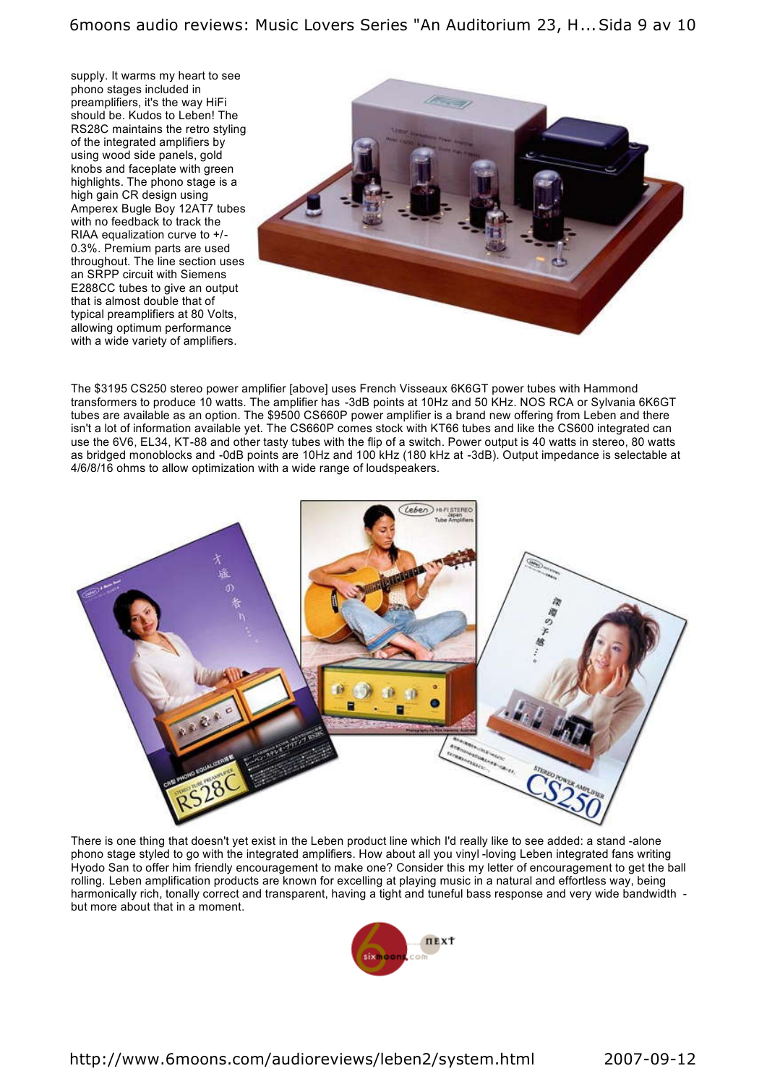supply. It warms my heart to see phono stages included in preamplifiers, it's the way HiFi should be. Kudos to Leben! The RS28C maintains the retro styling of the integrated amplifiers by using wood side panels, gold knobs and faceplate with green highlights. The phono stage is a high gain CR design using Amperex Bugle Boy 12AT7 tubes with no feedback to track the RIAA equalization curve to +/- 0.3%. Premium parts are used throughout. The line section uses an SRPP circuit with Siemens E288CC tubes to give an output that is almost double that of typical preamplifiers at 80 Volts, allowing optimum performance with a wide variety of amplifiers.



The \$3195 CS250 stereo power amplifier [above] uses French Visseaux 6K6GT power tubes with Hammond transformers to produce 10 watts. The amplifier has -3dB points at 10Hz and 50 KHz. NOS RCA or Sylvania 6K6GT tubes are available as an option. The \$9500 CS660P power amplifier is a brand new offering from Leben and there isn't a lot of information available yet. The CS660P comes stock with KT66 tubes and like the CS600 integrated can use the 6V6, EL34, KT-88 and other tasty tubes with the flip of a switch. Power output is 40 watts in stereo, 80 watts as bridged monoblocks and -0dB points are 10Hz and 100 kHz (180 kHz at -3dB). Output impedance is selectable at 4/6/8/16 ohms to allow optimization with a wide range of loudspeakers.



There is one thing that doesn't yet exist in the Leben product line which I'd really like to see added: a stand -alone phono stage styled to go with the integrated amplifiers. How about all you vinyl -loving Leben integrated fans writing Hyodo San to offer him friendly encouragement to make one? Consider this my letter of encouragement to get the ball rolling. Leben amplification products are known for excelling at playing music in a natural and effortless way, being harmonically rich, tonally correct and transparent, having a tight and tuneful bass response and very wide bandwidth but more about that in a moment.